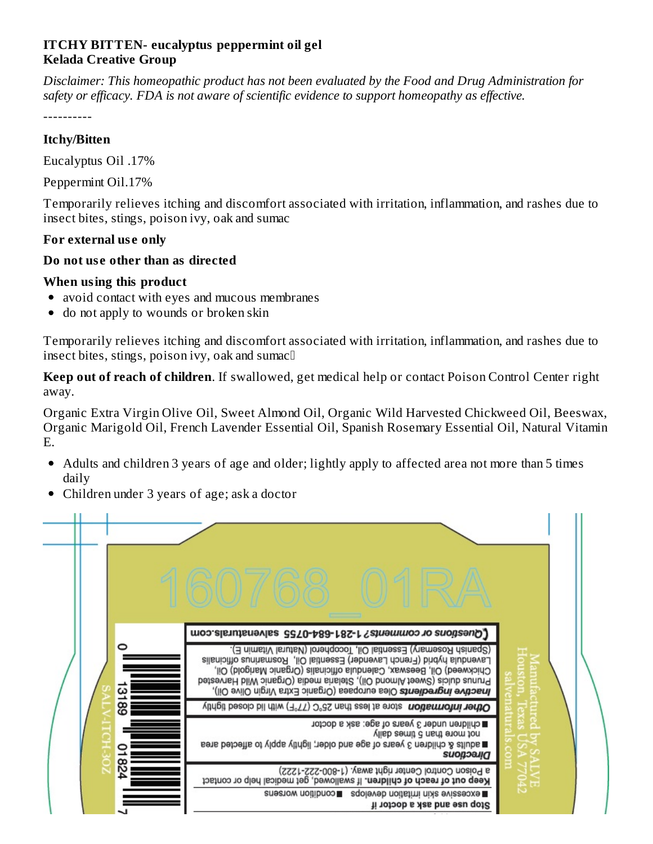## **ITCHY BITTEN- eucalyptus peppermint oil gel Kelada Creative Group**

*Disclaimer: This homeopathic product has not been evaluated by the Food and Drug Administration for safety or efficacy. FDA is not aware of scientific evidence to support homeopathy as effective.*

----------

## **Itchy/Bitten**

Eucalyptus Oil .17%

Peppermint Oil.17%

Temporarily relieves itching and discomfort associated with irritation, inflammation, and rashes due to insect bites, stings, poison ivy, oak and sumac

## **For external us e only**

#### **Do not us e other than as directed**

#### **When using this product**

- avoid contact with eyes and mucous membranes  $\bullet$
- do not apply to wounds or broken skin  $\bullet$

Temporarily relieves itching and discomfort associated with irritation, inflammation, and rashes due to insect bites, stings, poison ivy, oak and sumac

**Keep out of reach of children**. If swallowed, get medical help or contact Poison Control Center right away.

Organic Extra Virgin Olive Oil, Sweet Almond Oil, Organic Wild Harvested Chickweed Oil, Beeswax, Organic Marigold Oil, French Lavender Essential Oil, Spanish Rosemary Essential Oil, Natural Vitamin E.

- Adults and children 3 years of age and older; lightly apply to affected area not more than 5 times daily
- Children under 3 years of age; ask a doctor

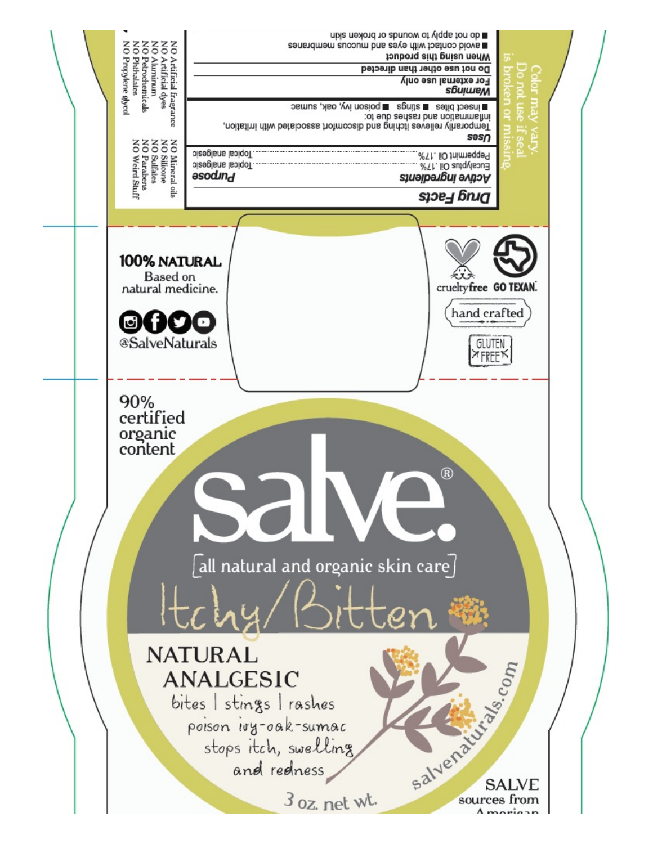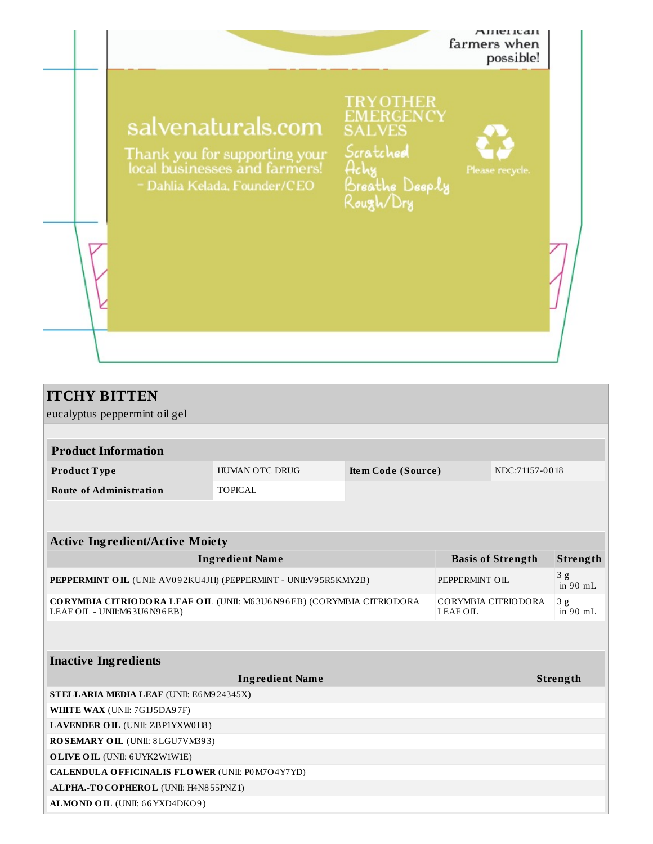

| <b>ITCHY BITTEN</b>                                                                                                                    |                |                    |  |                |                  |  |
|----------------------------------------------------------------------------------------------------------------------------------------|----------------|--------------------|--|----------------|------------------|--|
| eucalyptus peppermint oil gel                                                                                                          |                |                    |  |                |                  |  |
|                                                                                                                                        |                |                    |  |                |                  |  |
| <b>Product Information</b>                                                                                                             |                |                    |  |                |                  |  |
| Product Type                                                                                                                           | HUMAN OTC DRUG | Item Code (Source) |  | NDC:71157-0018 |                  |  |
| <b>Route of Administration</b>                                                                                                         | <b>TOPICAL</b> |                    |  |                |                  |  |
|                                                                                                                                        |                |                    |  |                |                  |  |
|                                                                                                                                        |                |                    |  |                |                  |  |
| <b>Active Ingredient/Active Moiety</b>                                                                                                 |                |                    |  |                |                  |  |
| <b>Ingredient Name</b><br><b>Basis of Strength</b>                                                                                     |                |                    |  |                | Strength         |  |
| PEPPERMINT OIL (UNII: AV092KU4JH) (PEPPERMINT - UNII:V95R5KMY2B)<br>PEPPERMINT OIL                                                     |                |                    |  |                | 3g<br>in $90$ mL |  |
| CORYMBIA CITRIODORA LEAF OIL (UNII: M63U6N96EB) (CORYMBIA CITRIODORA<br>CORYMBIA CITRIODORA<br>LEAF OIL - UNII:M63U6N96EB)<br>LEAF OIL |                |                    |  |                | 3g<br>in $90$ mL |  |
|                                                                                                                                        |                |                    |  |                |                  |  |
| <b>Inactive Ingredients</b>                                                                                                            |                |                    |  |                |                  |  |
| <b>Ingredient Name</b>                                                                                                                 |                |                    |  |                | Strength         |  |
| STELLARIA MEDIA LEAF (UNII: E6M924345X)                                                                                                |                |                    |  |                |                  |  |
| WHITE WAX (UNII: 7G1J5DA97F)                                                                                                           |                |                    |  |                |                  |  |
| LAVENDER OIL (UNII: ZBP1YXW0H8)                                                                                                        |                |                    |  |                |                  |  |
| ROSEMARY OIL (UNII: 8LGU7VM393)                                                                                                        |                |                    |  |                |                  |  |
| <b>OLIVE OIL</b> (UNII: 6 UYK2W1W1E)                                                                                                   |                |                    |  |                |                  |  |
| CALENDULA OFFICINALIS FLOWER (UNII: P0M7O4Y7YD)                                                                                        |                |                    |  |                |                  |  |
| .ALPHA.-TOCOPHEROL (UNII: H4N855PNZ1)                                                                                                  |                |                    |  |                |                  |  |

**ALMOND OIL** (UNII: 66YXD4DKO9)